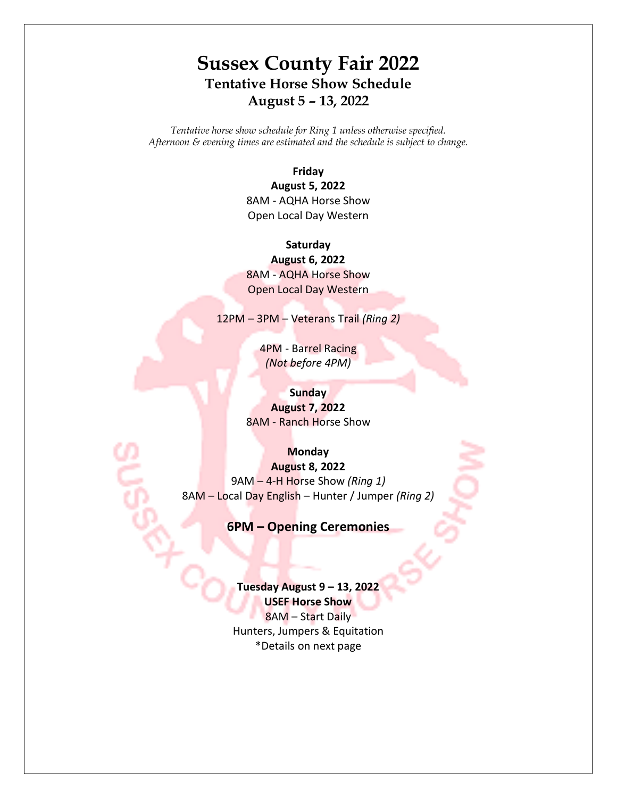# **Sussex County Fair 2022 Tentative Horse Show Schedule August 5 – 13, 2022**

*Tentative horse show schedule for Ring 1 unless otherwise specified. Afternoon & evening times are estimated and the schedule is subject to change.* 

> **Friday August 5, 2022**

8AM - AQHA Horse Show Open Local Day Western

**Saturday August 6, 2022** 8AM - AQHA Horse Show Open Local Day Western

12PM – 3PM – Veterans Trail *(Ring 2)*

4PM - Barrel Racing *(Not before 4PM)*

> **Sunday August 7, 2022**

8AM - Ranch Horse Show

**Monday**

**August 8, 2022** 9AM – 4-H Horse Show *(Ring 1)* 8AM – Local Day English – Hunter / Jumper *(Ring 2)*

**6PM – Opening Ceremonies**

**Tuesday August 9 – 13, 2022 USEF Horse Show** 8AM – Start Daily Hunters, Jumpers & Equitation \*Details on next page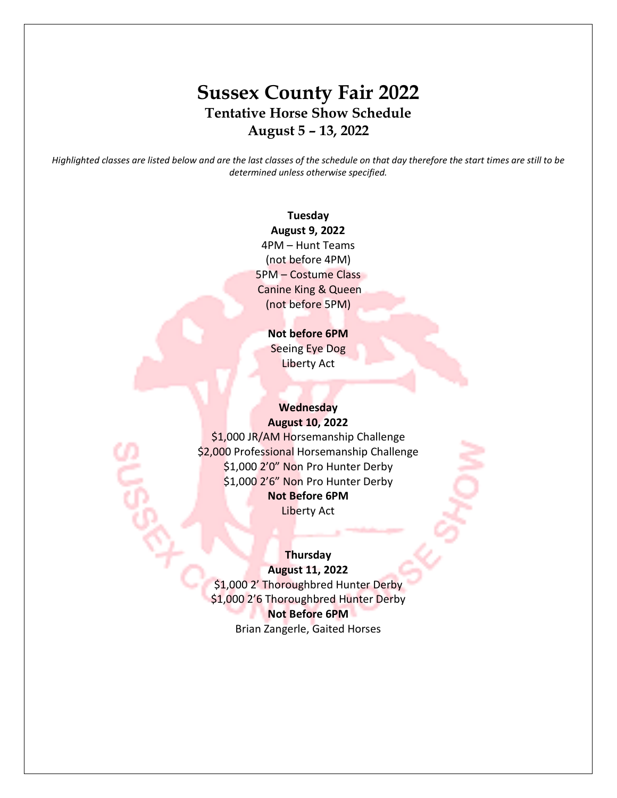# **Sussex County Fair 2022 Tentative Horse Show Schedule August 5 – 13, 2022**

*Highlighted classes are listed below and are the last classes of the schedule on that day therefore the start times are still to be determined unless otherwise specified.*

### **Tuesday August 9, 2022** 4PM – Hunt Teams (not before 4PM) 5PM – Costume Class Canine King & Queen (not before 5PM)

### **Not before 6PM** Seeing Eye Dog Liberty Act

#### **Wednesday August 10, 2022**

\$1,000 JR/AM Horsemanship Challenge \$2,000 Professional Horsemanship Challenge \$1,000 2'0" Non Pro Hunter Derby \$1,000 2'6" Non Pro Hunter Derby **Not Before 6PM** Liberty Act

## **Thursday**

**August 11, 2022** \$1,000 2' Thoroughbred Hunter Derby \$1,000 2'6 Thoroughbred Hunter Derby **Not Before 6PM** Brian Zangerle, Gaited Horses